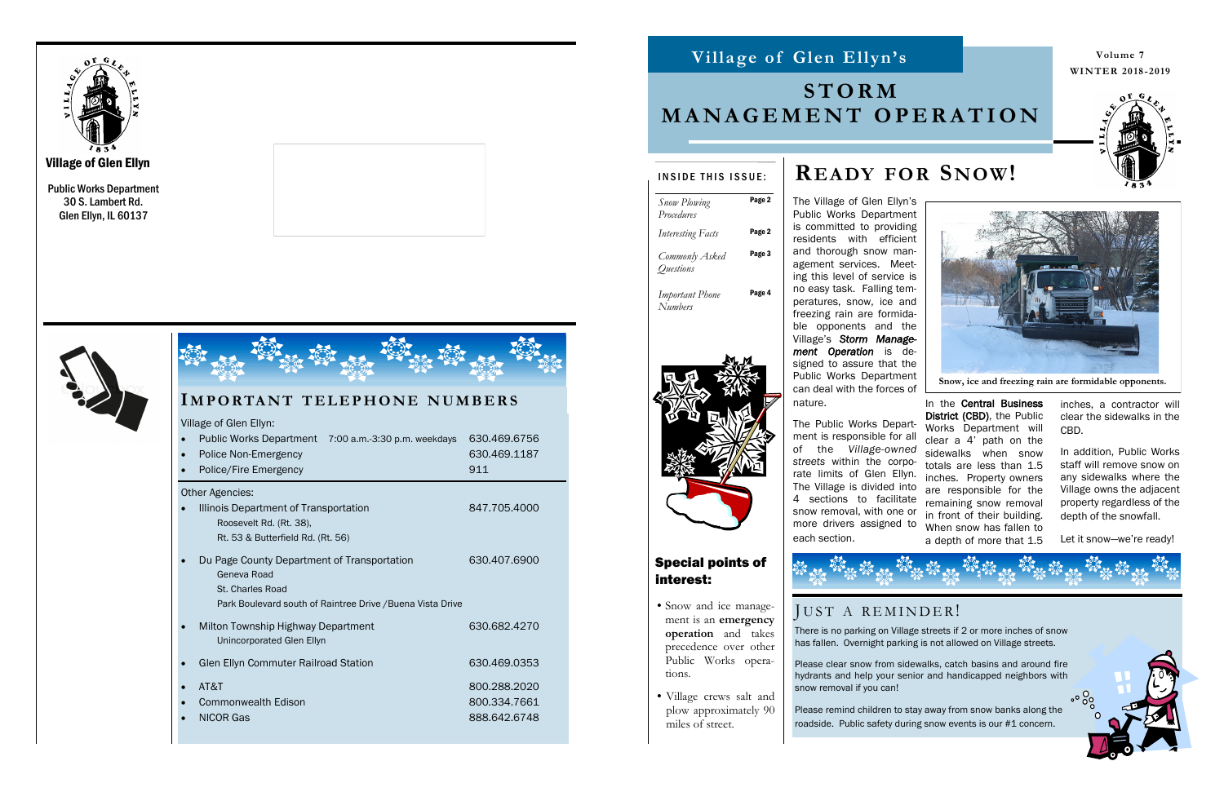Public Works Department 30 S. Lambert Rd. Glen Ellyn, IL 60137







| IMPORTANT TELEPHONE NUMBERS                                                                                                                  |                                              |
|----------------------------------------------------------------------------------------------------------------------------------------------|----------------------------------------------|
| Village of Glen Ellyn:<br>Public Works Department 7:00 a.m.-3:30 p.m. weekdays<br>Police Non-Emergency<br>Police/Fire Emergency              | 630.469.6756<br>630.469.1187<br>911          |
| <b>Other Agencies:</b><br>Illinois Department of Transportation<br>Roosevelt Rd. (Rt. 38),<br>Rt. 53 & Butterfield Rd. (Rt. 56)              | 847.705.4000                                 |
| Du Page County Department of Transportation<br>Geneva Road<br>St. Charles Road<br>Park Boulevard south of Raintree Drive / Buena Vista Drive | 630,407,6900                                 |
| Milton Township Highway Department<br>Unincorporated Glen Ellyn                                                                              | 630.682.4270                                 |
| Glen Ellyn Commuter Railroad Station                                                                                                         | 630.469.0353                                 |
| AT&T<br><b>Commonwealth Edison</b><br><b>NICOR Gas</b>                                                                                       | 800.288.2020<br>800.334.7661<br>888.642.6748 |

The Village of Glen Ellyn's



#### Public Works Department is committed to providing residents with efficient and thorough snow management services. Meeting this level of service is no easy task. Falling temperatures, snow, ice and freezing rain are formidable opponents and the Village's *Storm Management Operation* is designed to assure that the Public Works Department can deal with the forces of

nature.

The Public Works Department is responsible for all of the *Village-owned streets* within the corporate limits of Glen Ellyn. 4 sections to facilitate snow removal, with one or more drivers assigned to each section.

The Village is divided into are responsible for the In the Central Business District (CBD), the Public Works Department will clear a 4' path on the sidewalks when snow totals are less than 1.5 inches. Property owners remaining snow removal in front of their building. When snow has fallen to a depth of more that 1.5

inches, a contractor will clear the sidewalks in the CBD.

## **Villa ge of Glen Ellyn Villa ge of Glen Ellyn's**

In addition, Public Works staff will remove snow on any sidewalks where the Village owns the adjacent property regardless of the depth of the snowfall.

Let it snow—we're ready!

# **READY FOR SNOW!**

**Volume WINTER 2018 -2019**



| INSIDE THIS ISSUE:                        |        |
|-------------------------------------------|--------|
| <b>Snow Plowing</b><br>Procedures         | Page 2 |
| <b>Interesting Facts</b>                  | Page 2 |
| Commonly Asked<br><i><u>Ouestions</u></i> | Page 3 |
| <b>Important Phone</b><br>Numbers         | Page 4 |





snow removal if you can!



# **S T O R M M A N A G E M E N T O P E R A T I O N**

**Snow, ice and freezing rain are formidable opponents.**

## Special points of interest:

- •Snow and ice management is an **emergency operation** and takes precedence over other Public Works operations.
- Village crews salt and plow approximately 90 miles of street.

## JUST A REMINDER!